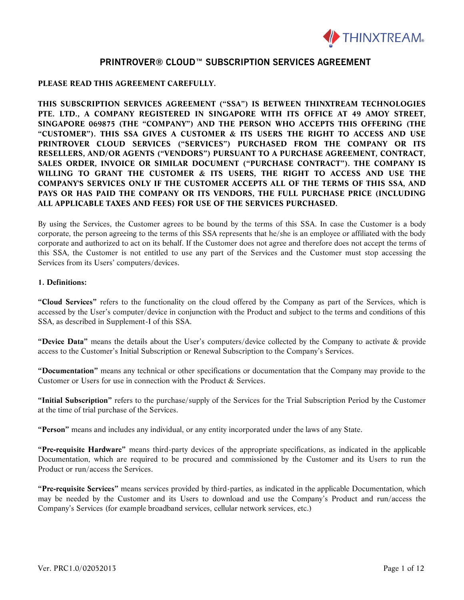

### **PLEASE READ THIS AGREEMENT CAREFULLY.**

**THIS SUBSCRIPTION SERVICES AGREEMENT ("SSA") IS BETWEEN THINXTREAM TECHNOLOGIES PTE. LTD., A COMPANY REGISTERED IN SINGAPORE WITH ITS OFFICE AT 49 AMOY STREET, SINGAPORE 069875 (THE "COMPANY") AND THE PERSON WHO ACCEPTS THIS OFFERING (THE "CUSTOMER"). THIS SSA GIVES A CUSTOMER & ITS USERS THE RIGHT TO ACCESS AND USE PRINTROVER CLOUD SERVICES ("SERVICES") PURCHASED FROM THE COMPANY OR ITS RESELLERS, AND/OR AGENTS ("VENDORS") PURSUANT TO A PURCHASE AGREEMENT, CONTRACT, SALES ORDER, INVOICE OR SIMILAR DOCUMENT ("PURCHASE CONTRACT"). THE COMPANY IS WILLING TO GRANT THE CUSTOMER & ITS USERS, THE RIGHT TO ACCESS AND USE THE COMPANY'S SERVICES ONLY IF THE CUSTOMER ACCEPTS ALL OF THE TERMS OF THIS SSA, AND PAYS OR HAS PAID THE COMPANY OR ITS VENDORS, THE FULL PURCHASE PRICE (INCLUDING ALL APPLICABLE TAXES AND FEES) FOR USE OF THE SERVICES PURCHASED.**

By using the Services, the Customer agrees to be bound by the terms of this SSA. In case the Customer is a body corporate, the person agreeing to the terms of this SSA represents that he/she is an employee or affiliated with the body corporate and authorized to act on its behalf. If the Customer does not agree and therefore does not accept the terms of this SSA, the Customer is not entitled to use any part of the Services and the Customer must stop accessing the Services from its Users' computers/devices.

#### **1. Definitions:**

**"Cloud Services"** refers to the functionality on the cloud offered by the Company as part of the Services, which is accessed by the User's computer/device in conjunction with the Product and subject to the terms and conditions of this SSA, as described in Supplement-I of this SSA.

**"Device Data"** means the details about the User's computers/device collected by the Company to activate & provide access to the Customer's Initial Subscription or Renewal Subscription to the Company's Services.

**"Documentation"** means any technical or other specifications or documentation that the Company may provide to the Customer or Users for use in connection with the Product & Services.

**"Initial Subscription"** refers to the purchase/supply of the Services for the Trial Subscription Period by the Customer at the time of trial purchase of the Services.

**"Person"** means and includes any individual, or any entity incorporated under the laws of any State.

**"Pre-requisite Hardware"** means third-party devices of the appropriate specifications, as indicated in the applicable Documentation, which are required to be procured and commissioned by the Customer and its Users to run the Product or run/access the Services.

**"Pre-requisite Services"** means services provided by third-parties, as indicated in the applicable Documentation, which may be needed by the Customer and its Users to download and use the Company's Product and run/access the Company's Services (for example broadband services, cellular network services, etc.)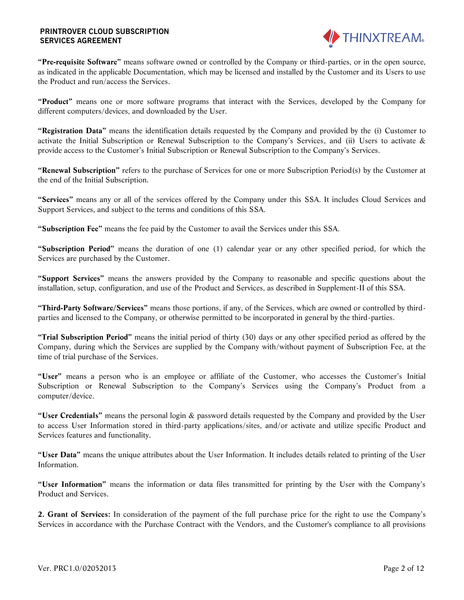

**"Pre-requisite Software"** means software owned or controlled by the Company or third-parties, or in the open source, as indicated in the applicable Documentation, which may be licensed and installed by the Customer and its Users to use the Product and run/access the Services.

**"Product"** means one or more software programs that interact with the Services, developed by the Company for different computers/devices, and downloaded by the User.

**"Registration Data"** means the identification details requested by the Company and provided by the (i) Customer to activate the Initial Subscription or Renewal Subscription to the Company's Services, and (ii) Users to activate & provide access to the Customer's Initial Subscription or Renewal Subscription to the Company's Services.

**"Renewal Subscription"** refers to the purchase of Services for one or more Subscription Period(s) by the Customer at the end of the Initial Subscription.

**"Services"** means any or all of the services offered by the Company under this SSA. It includes Cloud Services and Support Services, and subject to the terms and conditions of this SSA.

**"Subscription Fee"** means the fee paid by the Customer to avail the Services under this SSA.

**"Subscription Period"** means the duration of one (1) calendar year or any other specified period, for which the Services are purchased by the Customer.

**"Support Services"** means the answers provided by the Company to reasonable and specific questions about the installation, setup, configuration, and use of the Product and Services, as described in Supplement-II of this SSA.

**"Third-Party Software/Services"** means those portions, if any, of the Services, which are owned or controlled by thirdparties and licensed to the Company, or otherwise permitted to be incorporated in general by the third-parties.

**"Trial Subscription Period"** means the initial period of thirty (30) days or any other specified period as offered by the Company, during which the Services are supplied by the Company with/without payment of Subscription Fee, at the time of trial purchase of the Services.

**"User"** means a person who is an employee or affiliate of the Customer, who accesses the Customer's Initial Subscription or Renewal Subscription to the Company's Services using the Company's Product from a computer/device.

**"User Credentials"** means the personal login & password details requested by the Company and provided by the User to access User Information stored in third-party applications/sites, and/or activate and utilize specific Product and Services features and functionality.

**"User Data"** means the unique attributes about the User Information. It includes details related to printing of the User Information.

**"User Information"** means the information or data files transmitted for printing by the User with the Company's Product and Services.

**2. Grant of Services:** In consideration of the payment of the full purchase price for the right to use the Company's Services in accordance with the Purchase Contract with the Vendors, and the Customer's compliance to all provisions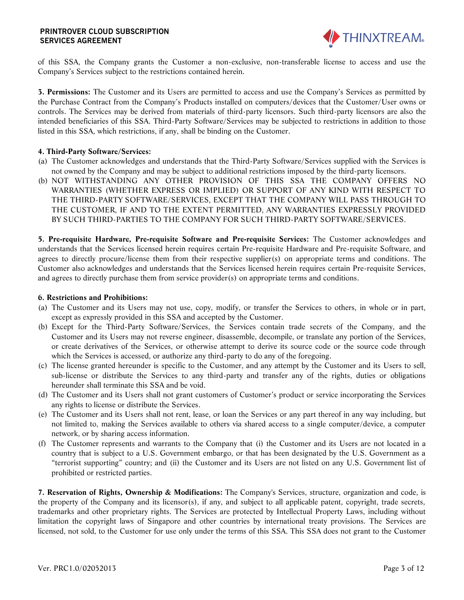

of this SSA, the Company grants the Customer a non-exclusive, non-transferable license to access and use the Company's Services subject to the restrictions contained herein.

**3. Permissions:** The Customer and its Users are permitted to access and use the Company's Services as permitted by the Purchase Contract from the Company's Products installed on computers/devices that the Customer/User owns or controls. The Services may be derived from materials of third-party licensors. Such third-party licensors are also the intended beneficiaries of this SSA. Third-Party Software/Services may be subjected to restrictions in addition to those listed in this SSA, which restrictions, if any, shall be binding on the Customer.

### **4. Third-Party Software/Services:**

- (a) The Customer acknowledges and understands that the Third-Party Software/Services supplied with the Services is not owned by the Company and may be subject to additional restrictions imposed by the third-party licensors.
- (b) NOT WITHSTANDING ANY OTHER PROVISION OF THIS SSA THE COMPANY OFFERS NO WARRANTIES (WHETHER EXPRESS OR IMPLIED) OR SUPPORT OF ANY KIND WITH RESPECT TO THE THIRD-PARTY SOFTWARE/SERVICES, EXCEPT THAT THE COMPANY WILL PASS THROUGH TO THE CUSTOMER, IF AND TO THE EXTENT PERMITTED, ANY WARRANTIES EXPRESSLY PROVIDED BY SUCH THIRD-PARTIES TO THE COMPANY FOR SUCH THIRD-PARTY SOFTWARE/SERVICES.

**5. Pre-requisite Hardware, Pre-requisite Software and Pre-requisite Services:** The Customer acknowledges and understands that the Services licensed herein requires certain Pre-requisite Hardware and Pre-requisite Software, and agrees to directly procure/license them from their respective supplier(s) on appropriate terms and conditions. The Customer also acknowledges and understands that the Services licensed herein requires certain Pre-requisite Services, and agrees to directly purchase them from service provider(s) on appropriate terms and conditions.

### **6. Restrictions and Prohibitions:**

- (a) The Customer and its Users may not use, copy, modify, or transfer the Services to others, in whole or in part, except as expressly provided in this SSA and accepted by the Customer.
- (b) Except for the Third-Party Software/Services, the Services contain trade secrets of the Company, and the Customer and its Users may not reverse engineer, disassemble, decompile, or translate any portion of the Services, or create derivatives of the Services, or otherwise attempt to derive its source code or the source code through which the Services is accessed, or authorize any third-party to do any of the foregoing.
- (c) The license granted hereunder is specific to the Customer, and any attempt by the Customer and its Users to sell, sub-license or distribute the Services to any third-party and transfer any of the rights, duties or obligations hereunder shall terminate this SSA and be void.
- (d) The Customer and its Users shall not grant customers of Customer's product or service incorporating the Services any rights to license or distribute the Services.
- (e) The Customer and its Users shall not rent, lease, or loan the Services or any part thereof in any way including, but not limited to, making the Services available to others via shared access to a single computer/device, a computer network, or by sharing access information.
- (f) The Customer represents and warrants to the Company that (i) the Customer and its Users are not located in a country that is subject to a U.S. Government embargo, or that has been designated by the U.S. Government as a "terrorist supporting" country; and (ii) the Customer and its Users are not listed on any U.S. Government list of prohibited or restricted parties.

**7. Reservation of Rights, Ownership & Modifications:** The Company's Services, structure, organization and code, is the property of the Company and its licensor(s), if any, and subject to all applicable patent, copyright, trade secrets, trademarks and other proprietary rights. The Services are protected by Intellectual Property Laws, including without limitation the copyright laws of Singapore and other countries by international treaty provisions. The Services are licensed, not sold, to the Customer for use only under the terms of this SSA. This SSA does not grant to the Customer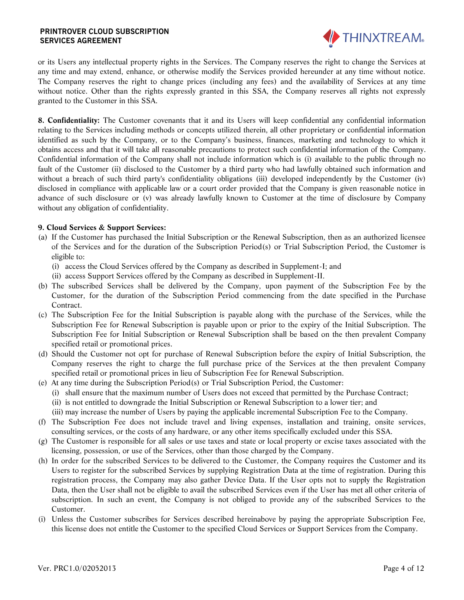

or its Users any intellectual property rights in the Services. The Company reserves the right to change the Services at any time and may extend, enhance, or otherwise modify the Services provided hereunder at any time without notice. The Company reserves the right to change prices (including any fees) and the availability of Services at any time without notice. Other than the rights expressly granted in this SSA, the Company reserves all rights not expressly granted to the Customer in this SSA.

**8. Confidentiality:** The Customer covenants that it and its Users will keep confidential any confidential information relating to the Services including methods or concepts utilized therein, all other proprietary or confidential information identified as such by the Company, or to the Company's business, finances, marketing and technology to which it obtains access and that it will take all reasonable precautions to protect such confidential information of the Company. Confidential information of the Company shall not include information which is (i) available to the public through no fault of the Customer (ii) disclosed to the Customer by a third party who had lawfully obtained such information and without a breach of such third party's confidentiality obligations (iii) developed independently by the Customer (iv) disclosed in compliance with applicable law or a court order provided that the Company is given reasonable notice in advance of such disclosure or (v) was already lawfully known to Customer at the time of disclosure by Company without any obligation of confidentiality.

### **9. Cloud Services & Support Services:**

- (a) If the Customer has purchased the Initial Subscription or the Renewal Subscription, then as an authorized licensee of the Services and for the duration of the Subscription Period(s) or Trial Subscription Period, the Customer is eligible to:
	- (i) access the Cloud Services offered by the Company as described in Supplement-I; and
	- (ii) access Support Services offered by the Company as described in Supplement-II.
- (b) The subscribed Services shall be delivered by the Company, upon payment of the Subscription Fee by the Customer, for the duration of the Subscription Period commencing from the date specified in the Purchase Contract.
- (c) The Subscription Fee for the Initial Subscription is payable along with the purchase of the Services, while the Subscription Fee for Renewal Subscription is payable upon or prior to the expiry of the Initial Subscription. The Subscription Fee for Initial Subscription or Renewal Subscription shall be based on the then prevalent Company specified retail or promotional prices.
- (d) Should the Customer not opt for purchase of Renewal Subscription before the expiry of Initial Subscription, the Company reserves the right to charge the full purchase price of the Services at the then prevalent Company specified retail or promotional prices in lieu of Subscription Fee for Renewal Subscription.
- (e) At any time during the Subscription Period(s) or Trial Subscription Period, the Customer:
	- (i) shall ensure that the maximum number of Users does not exceed that permitted by the Purchase Contract; (ii) is not entitled to downgrade the Initial Subscription or Renewal Subscription to a lower tier; and
	- (iii) may increase the number of Users by paying the applicable incremental Subscription Fee to the Company.
- (f) The Subscription Fee does not include travel and living expenses, installation and training, onsite services, consulting services, or the costs of any hardware, or any other items specifically excluded under this SSA.
- (g) The Customer is responsible for all sales or use taxes and state or local property or excise taxes associated with the licensing, possession, or use of the Services, other than those charged by the Company.
- (h) In order for the subscribed Services to be delivered to the Customer, the Company requires the Customer and its Users to register for the subscribed Services by supplying Registration Data at the time of registration. During this registration process, the Company may also gather Device Data. If the User opts not to supply the Registration Data, then the User shall not be eligible to avail the subscribed Services even if the User has met all other criteria of subscription. In such an event, the Company is not obliged to provide any of the subscribed Services to the Customer.
- (i) Unless the Customer subscribes for Services described hereinabove by paying the appropriate Subscription Fee, this license does not entitle the Customer to the specified Cloud Services or Support Services from the Company.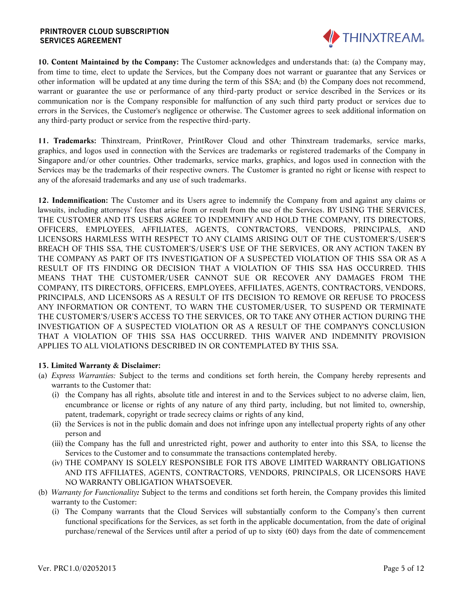

**10. Content Maintained by the Company:** The Customer acknowledges and understands that: (a) the Company may, from time to time, elect to update the Services, but the Company does not warrant or guarantee that any Services or other information will be updated at any time during the term of this SSA; and (b) the Company does not recommend, warrant or guarantee the use or performance of any third-party product or service described in the Services or its communication nor is the Company responsible for malfunction of any such third party product or services due to errors in the Services, the Customer's negligence or otherwise. The Customer agrees to seek additional information on any third-party product or service from the respective third-party.

**11. Trademarks:** Thinxtream, PrintRover, PrintRover Cloud and other Thinxtream trademarks, service marks, graphics, and logos used in connection with the Services are trademarks or registered trademarks of the Company in Singapore and/or other countries. Other trademarks, service marks, graphics, and logos used in connection with the Services may be the trademarks of their respective owners. The Customer is granted no right or license with respect to any of the aforesaid trademarks and any use of such trademarks.

**12. Indemnification:** The Customer and its Users agree to indemnify the Company from and against any claims or lawsuits, including attorneys' fees that arise from or result from the use of the Services. BY USING THE SERVICES, THE CUSTOMER AND ITS USERS AGREE TO INDEMNIFY AND HOLD THE COMPANY, ITS DIRECTORS, OFFICERS, EMPLOYEES, AFFILIATES, AGENTS, CONTRACTORS, VENDORS, PRINCIPALS, AND LICENSORS HARMLESS WITH RESPECT TO ANY CLAIMS ARISING OUT OF THE CUSTOMER'S/USER'S BREACH OF THIS SSA, THE CUSTOMER'S/USER'S USE OF THE SERVICES, OR ANY ACTION TAKEN BY THE COMPANY AS PART OF ITS INVESTIGATION OF A SUSPECTED VIOLATION OF THIS SSA OR AS A RESULT OF ITS FINDING OR DECISION THAT A VIOLATION OF THIS SSA HAS OCCURRED. THIS MEANS THAT THE CUSTOMER/USER CANNOT SUE OR RECOVER ANY DAMAGES FROM THE COMPANY, ITS DIRECTORS, OFFICERS, EMPLOYEES, AFFILIATES, AGENTS, CONTRACTORS, VENDORS, PRINCIPALS, AND LICENSORS AS A RESULT OF ITS DECISION TO REMOVE OR REFUSE TO PROCESS ANY INFORMATION OR CONTENT, TO WARN THE CUSTOMER/USER, TO SUSPEND OR TERMINATE THE CUSTOMER'S/USER'S ACCESS TO THE SERVICES, OR TO TAKE ANY OTHER ACTION DURING THE INVESTIGATION OF A SUSPECTED VIOLATION OR AS A RESULT OF THE COMPANY'S CONCLUSION THAT A VIOLATION OF THIS SSA HAS OCCURRED. THIS WAIVER AND INDEMNITY PROVISION APPLIES TO ALL VIOLATIONS DESCRIBED IN OR CONTEMPLATED BY THIS SSA.

#### **13. Limited Warranty & Disclaimer:**

- (a) *Express Warranties:* Subject to the terms and conditions set forth herein, the Company hereby represents and warrants to the Customer that:
	- (i) the Company has all rights, absolute title and interest in and to the Services subject to no adverse claim, lien, encumbrance or license or rights of any nature of any third party, including, but not limited to, ownership, patent, trademark, copyright or trade secrecy claims or rights of any kind,
	- (ii) the Services is not in the public domain and does not infringe upon any intellectual property rights of any other person and
	- (iii) the Company has the full and unrestricted right, power and authority to enter into this SSA, to license the Services to the Customer and to consummate the transactions contemplated hereby.
	- (iv) THE COMPANY IS SOLELY RESPONSIBLE FOR ITS ABOVE LIMITED WARRANTY OBLIGATIONS AND ITS AFFILIATES, AGENTS, CONTRACTORS, VENDORS, PRINCIPALS, OR LICENSORS HAVE NO WARRANTY OBLIGATION WHATSOEVER.
- (b) *Warranty for Functionality:* Subject to the terms and conditions set forth herein, the Company provides this limited warranty to the Customer:
	- (i) The Company warrants that the Cloud Services will substantially conform to the Company's then current functional specifications for the Services, as set forth in the applicable documentation, from the date of original purchase/renewal of the Services until after a period of up to sixty (60) days from the date of commencement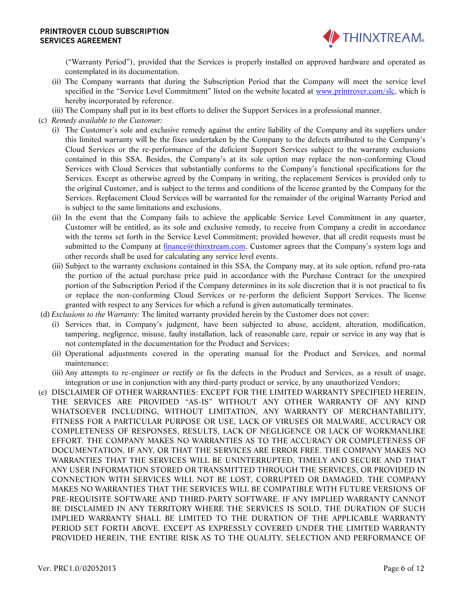

("Warranty Period"), provided that the Services is properly installed on approved hardware and operated as contemplated in its documentation.

- (ii) The Company warrants that during the Subscription Period that the Company will meet the service level specified in the "Service Level Commitment" listed on the website located at [www.printrover.com/slc,](http://www.printrover.com/slc) which is hereby incorporated by reference.
- (iii) The Company shall put in its best efforts to deliver the Support Services in a professional manner.
- (c) *Remedy available to the Customer:*
	- (i) The Customer's sole and exclusive remedy against the entire liability of the Company and its suppliers under this limited warranty will be the fixes undertaken by the Company to the defects attributed to the Company's Cloud Services or the re-performance of the deficient Support Services subject to the warranty exclusions contained in this SSA. Besides, the Company's at its sole option may replace the non-conforming Cloud Services with Cloud Services that substantially conforms to the Company's functional specifications for the Services. Except as otherwise agreed by the Company in writing, the replacement Services is provided only to the original Customer, and is subject to the terms and conditions of the license granted by the Company for the Services. Replacement Cloud Services will be warranted for the remainder of the original Warranty Period and is subject to the same limitations and exclusions.
	- (ii) In the event that the Company fails to achieve the applicable Service Level Commitment in any quarter, Customer will be entitled, as its sole and exclusive remedy, to receive from Company a credit in accordance with the terms set forth in the Service Level Commitment; provided however, that all credit requests must be submitted to the Company at [finance@thinxtream.com.](file:///D:/My%20Documents/Marketing/Agreements/SW%20Product%20License%20Agreements/Download%20Version/PR/finance@thinxtream.com) Customer agrees that the Company's system logs and other records shall be used for calculating any service level events.
	- (iii) Subject to the warranty exclusions contained in this SSA, the Company may, at its sole option, refund pro-rata the portion of the actual purchase price paid in accordance with the Purchase Contract for the unexpired portion of the Subscription Period if the Company determines in its sole discretion that it is not practical to fix or replace the non-conforming Cloud Services or re-perform the deficient Support Services. The license granted with respect to any Services for which a refund is given automatically terminates.
- (d) *Exclusions to the Warranty:* The limited warranty provided herein by the Customer does not cover:
	- (i) Services that, in Company's judgment, have been subjected to abuse, accident, alteration, modification, tampering, negligence, misuse, faulty installation, lack of reasonable care, repair or service in any way that is not contemplated in the documentation for the Product and Services;
	- (ii) Operational adjustments covered in the operating manual for the Product and Services, and normal maintenance;
	- (iii) Any attempts to re-engineer or rectify or fix the defects in the Product and Services, as a result of usage, integration or use in conjunction with any third-party product or service, by any unauthorized Vendors;
- (e) DISCLAIMER OF OTHER WARRANTIES: EXCEPT FOR THE LIMITED WARRANTY SPECIFIED HEREIN, THE SERVICES ARE PROVIDED "AS-IS" WITHOUT ANY OTHER WARRANTY OF ANY KIND WHATSOEVER INCLUDING, WITHOUT LIMITATION, ANY WARRANTY OF MERCHANTABILITY, FITNESS FOR A PARTICULAR PURPOSE OR USE, LACK OF VIRUSES OR MALWARE, ACCURACY OR COMPLETENESS OF RESPONSES, RESULTS, LACK OF NEGLIGENCE OR LACK OF WORKMANLIKE EFFORT. THE COMPANY MAKES NO WARRANTIES AS TO THE ACCURACY OR COMPLETENESS OF DOCUMENTATION, IF ANY, OR THAT THE SERVICES ARE ERROR FREE. THE COMPANY MAKES NO WARRANTIES THAT THE SERVICES WILL BE UNINTERRUPTED, TIMELY AND SECURE AND THAT ANY USER INFORMATION STORED OR TRANSMITTED THROUGH THE SERVICES, OR PROVIDED IN CONNECTION WITH SERVICES WILL NOT BE LOST, CORRUPTED OR DAMAGED. THE COMPANY MAKES NO WARRANTIES THAT THE SERVICES WILL BE COMPATIBLE WITH FUTURE VERSIONS OF PRE-REQUISITE SOFTWARE AND THIRD-PARTY SOFTWARE. IF ANY IMPLIED WARRANTY CANNOT BE DISCLAIMED IN ANY TERRITORY WHERE THE SERVICES IS SOLD, THE DURATION OF SUCH IMPLIED WARRANTY SHALL BE LIMITED TO THE DURATION OF THE APPLICABLE WARRANTY PERIOD SET FORTH ABOVE. EXCEPT AS EXPRESSLY COVERED UNDER THE LIMITED WARRANTY PROVIDED HEREIN, THE ENTIRE RISK AS TO THE QUALITY, SELECTION AND PERFORMANCE OF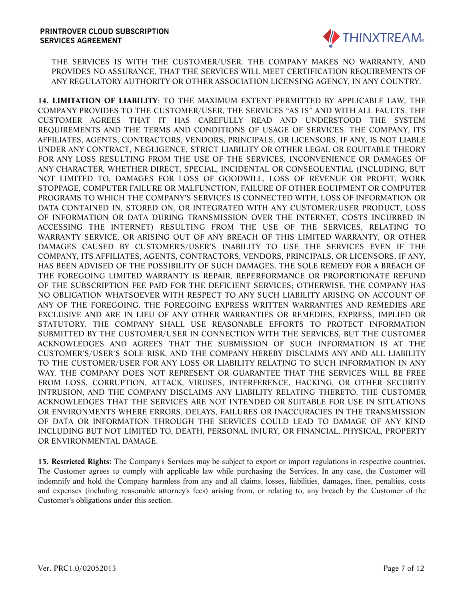

THE SERVICES IS WITH THE CUSTOMER/USER. THE COMPANY MAKES NO WARRANTY, AND PROVIDES NO ASSURANCE, THAT THE SERVICES WILL MEET CERTIFICATION REQUIREMENTS OF ANY REGULATORY AUTHORITY OR OTHER ASSOCIATION LICENSING AGENCY, IN ANY COUNTRY.

**14. LIMITATION OF LIABILITY**: TO THE MAXIMUM EXTENT PERMITTED BY APPLICABLE LAW, THE COMPANY PROVIDES TO THE CUSTOMER/USER, THE SERVICES "AS IS" AND WITH ALL FAULTS. THE CUSTOMER AGREES THAT IT HAS CAREFULLY READ AND UNDERSTOOD THE SYSTEM REQUIREMENTS AND THE TERMS AND CONDITIONS OF USAGE OF SERVICES. THE COMPANY, ITS AFFILIATES, AGENTS, CONTRACTORS, VENDORS, PRINCIPALS, OR LICENSORS, IF ANY, IS NOT LIABLE UNDER ANY CONTRACT, NEGLIGENCE, STRICT LIABILITY OR OTHER LEGAL OR EQUITABLE THEORY FOR ANY LOSS RESULTING FROM THE USE OF THE SERVICES, INCONVENIENCE OR DAMAGES OF ANY CHARACTER, WHETHER DIRECT, SPECIAL, INCIDENTAL OR CONSEQUENTIAL (INCLUDING, BUT NOT LIMITED TO, DAMAGES FOR LOSS OF GOODWILL, LOSS OF REVENUE OR PROFIT, WORK STOPPAGE, COMPUTER FAILURE OR MALFUNCTION, FAILURE OF OTHER EQUIPMENT OR COMPUTER PROGRAMS TO WHICH THE COMPANY'S SERVICES IS CONNECTED WITH, LOSS OF INFORMATION OR DATA CONTAINED IN, STORED ON, OR INTEGRATED WITH ANY CUSTOMER/USER PRODUCT, LOSS OF INFORMATION OR DATA DURING TRANSMISSION OVER THE INTERNET, COSTS INCURRED IN ACCESSING THE INTERNET) RESULTING FROM THE USE OF THE SERVICES, RELATING TO WARRANTY SERVICE, OR ARISING OUT OF ANY BREACH OF THIS LIMITED WARRANTY, OR OTHER DAMAGES CAUSED BY CUSTOMER'S/USER'S INABILITY TO USE THE SERVICES EVEN IF THE COMPANY, ITS AFFILIATES, AGENTS, CONTRACTORS, VENDORS, PRINCIPALS, OR LICENSORS, IF ANY, HAS BEEN ADVISED OF THE POSSIBILITY OF SUCH DAMAGES. THE SOLE REMEDY FOR A BREACH OF THE FOREGOING LIMITED WARRANTY IS REPAIR, REPERFORMANCE OR PROPORTIONATE REFUND OF THE SUBSCRIPTION FEE PAID FOR THE DEFICIENT SERVICES; OTHERWISE, THE COMPANY HAS NO OBLIGATION WHATSOEVER WITH RESPECT TO ANY SUCH LIABILITY ARISING ON ACCOUNT OF ANY OF THE FOREGOING. THE FOREGOING EXPRESS WRITTEN WARRANTIES AND REMEDIES ARE EXCLUSIVE AND ARE IN LIEU OF ANY OTHER WARRANTIES OR REMEDIES, EXPRESS, IMPLIED OR STATUTORY. THE COMPANY SHALL USE REASONABLE EFFORTS TO PROTECT INFORMATION SUBMITTED BY THE CUSTOMER/USER IN CONNECTION WITH THE SERVICES, BUT THE CUSTOMER ACKNOWLEDGES AND AGREES THAT THE SUBMISSION OF SUCH INFORMATION IS AT THE CUSTOMER'S/USER'S SOLE RISK, AND THE COMPANY HEREBY DISCLAIMS ANY AND ALL LIABILITY TO THE CUSTOMER/USER FOR ANY LOSS OR LIABILITY RELATING TO SUCH INFORMATION IN ANY WAY. THE COMPANY DOES NOT REPRESENT OR GUARANTEE THAT THE SERVICES WILL BE FREE FROM LOSS, CORRUPTION, ATTACK, VIRUSES, INTERFERENCE, HACKING, OR OTHER SECURITY INTRUSION, AND THE COMPANY DISCLAIMS ANY LIABILITY RELATING THERETO. THE CUSTOMER ACKNOWLEDGES THAT THE SERVICES ARE NOT INTENDED OR SUITABLE FOR USE IN SITUATIONS OR ENVIRONMENTS WHERE ERRORS, DELAYS, FAILURES OR INACCURACIES IN THE TRANSMISSION OF DATA OR INFORMATION THROUGH THE SERVICES COULD LEAD TO DAMAGE OF ANY KIND INCLUDING BUT NOT LIMITED TO, DEATH, PERSONAL INJURY, OR FINANCIAL, PHYSICAL, PROPERTY OR ENVIRONMENTAL DAMAGE.

**15. Restricted Rights:** The Company's Services may be subject to export or import regulations in respective countries. The Customer agrees to comply with applicable law while purchasing the Services. In any case, the Customer will indemnify and hold the Company harmless from any and all claims, losses, liabilities, damages, fines, penalties, costs and expenses (including reasonable attorney's fees) arising from, or relating to, any breach by the Customer of the Customer's obligations under this section.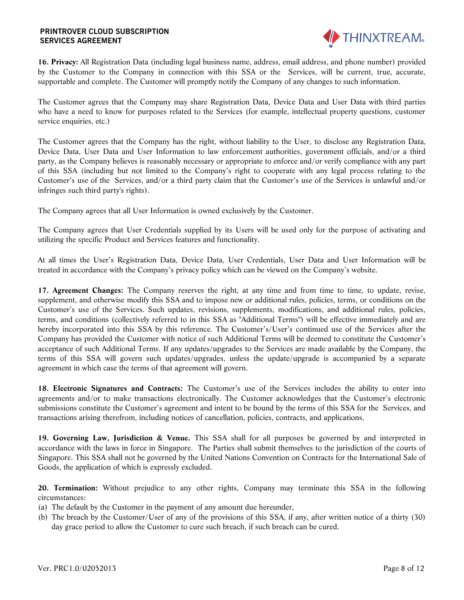

**16. Privacy:** All Registration Data (including legal business name, address, email address, and phone number) provided by the Customer to the Company in connection with this SSA or the Services, will be current, true, accurate, supportable and complete. The Customer will promptly notify the Company of any changes to such information.

The Customer agrees that the Company may share Registration Data, Device Data and User Data with third parties who have a need to know for purposes related to the Services (for example, intellectual property questions, customer service enquiries, etc.)

The Customer agrees that the Company has the right, without liability to the User, to disclose any Registration Data, Device Data, User Data and User Information to law enforcement authorities, government officials, and/or a third party, as the Company believes is reasonably necessary or appropriate to enforce and/or verify compliance with any part of this SSA (including but not limited to the Company's right to cooperate with any legal process relating to the Customer's use of the Services, and/or a third party claim that the Customer's use of the Services is unlawful and/or infringes such third party's rights).

The Company agrees that all User Information is owned exclusively by the Customer.

The Company agrees that User Credentials supplied by its Users will be used only for the purpose of activating and utilizing the specific Product and Services features and functionality.

At all times the User's Registration Data, Device Data, User Credentials, User Data and User Information will be treated in accordance with the Company's privacy policy which can be viewed on the Company's website.

**17. Agreement Changes:** The Company reserves the right, at any time and from time to time, to update, revise, supplement, and otherwise modify this SSA and to impose new or additional rules, policies, terms, or conditions on the Customer's use of the Services. Such updates, revisions, supplements, modifications, and additional rules, policies, terms, and conditions (collectively referred to in this SSA as "Additional Terms") will be effective immediately and are hereby incorporated into this SSA by this reference. The Customer's/User's continued use of the Services after the Company has provided the Customer with notice of such Additional Terms will be deemed to constitute the Customer's acceptance of such Additional Terms. If any updates/upgrades to the Services are made available by the Company, the terms of this SSA will govern such updates/upgrades, unless the update/upgrade is accompanied by a separate agreement in which case the terms of that agreement will govern.

**18. Electronic Signatures and Contracts:** The Customer's use of the Services includes the ability to enter into agreements and/or to make transactions electronically. The Customer acknowledges that the Customer's electronic submissions constitute the Customer's agreement and intent to be bound by the terms of this SSA for the Services, and transactions arising therefrom, including notices of cancellation, policies, contracts, and applications.

**19. Governing Law, Jurisdiction & Venue.** This SSA shall for all purposes be governed by and interpreted in accordance with the laws in force in Singapore. The Parties shall submit themselves to the jurisdiction of the courts of Singapore. This SSA shall not be governed by the United Nations Convention on Contracts for the International Sale of Goods, the application of which is expressly excluded.

**20. Termination:** Without prejudice to any other rights, Company may terminate this SSA in the following circumstances:

- (a) The default by the Customer in the payment of any amount due hereunder,
- (b) The breach by the Customer/User of any of the provisions of this SSA, if any, after written notice of a thirty (30) day grace period to allow the Customer to cure such breach, if such breach can be cured.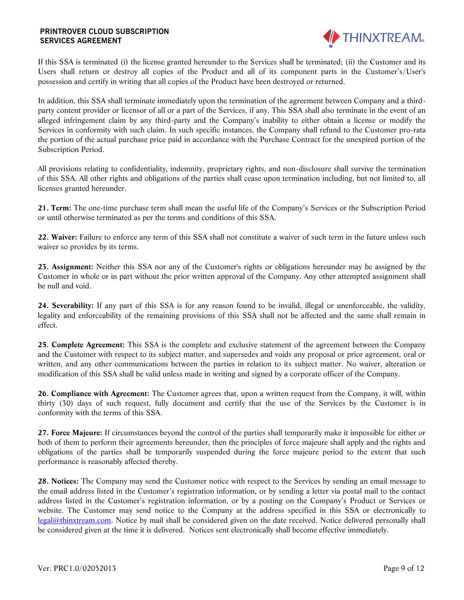

If this SSA is terminated (i) the license granted hereunder to the Services shall be terminated; (ii) the Customer and its Users shall return or destroy all copies of the Product and all of its component parts in the Customer's/User's possession and certify in writing that all copies of the Product have been destroyed or returned.

In addition, this SSA shall terminate immediately upon the termination of the agreement between Company and a thirdparty content provider or licensor of all or a part of the Services, if any. This SSA shall also terminate in the event of an alleged infringement claim by any third-party and the Company's inability to either obtain a license or modify the Services in conformity with such claim. In such specific instances, the Company shall refund to the Customer pro-rata the portion of the actual purchase price paid in accordance with the Purchase Contract for the unexpired portion of the Subscription Period.

All provisions relating to confidentiality, indemnity, proprietary rights, and non-disclosure shall survive the termination of this SSA. All other rights and obligations of the parties shall cease upon termination including, but not limited to, all licenses granted hereunder.

**21. Term:** The one-time purchase term shall mean the useful life of the Company's Services or the Subscription Period or until otherwise terminated as per the terms and conditions of this SSA.

**22. Waiver:** Failure to enforce any term of this SSA shall not constitute a waiver of such term in the future unless such waiver so provides by its terms.

**23. Assignment:** Neither this SSA nor any of the Customer's rights or obligations hereunder may be assigned by the Customer in whole or in part without the prior written approval of the Company. Any other attempted assignment shall be null and void.

**24. Severability:** If any part of this SSA is for any reason found to be invalid, illegal or unenforceable, the validity, legality and enforceability of the remaining provisions of this SSA shall not be affected and the same shall remain in effect.

**25. Complete Agreement:** This SSA is the complete and exclusive statement of the agreement between the Company and the Customer with respect to its subject matter, and supersedes and voids any proposal or prior agreement, oral or written, and any other communications between the parties in relation to its subject matter. No waiver, alteration or modification of this SSA shall be valid unless made in writing and signed by a corporate officer of the Company.

**26. Compliance with Agreement:** The Customer agrees that, upon a written request from the Company, it will, within thirty (30) days of such request, fully document and certify that the use of the Services by the Customer is in conformity with the terms of this SSA.

**27. Force Majeure:** If circumstances beyond the control of the parties shall temporarily make it impossible for either or both of them to perform their agreements hereunder, then the principles of force majeure shall apply and the rights and obligations of the parties shall be temporarily suspended during the force majeure period to the extent that such performance is reasonably affected thereby.

**28. Notices:** The Company may send the Customer notice with respect to the Services by sending an email message to the email address listed in the Customer's registration information, or by sending a letter via postal mail to the contact address listed in the Customer's registration information, or by a posting on the Company's Product or Services or website. The Customer may send notice to the Company at the address specified in this SSA or electronically to [legal@thinxtream.com.](mailto:legal@thinxtream.com) Notice by mail shall be considered given on the date received. Notice delivered personally shall be considered given at the time it is delivered. Notices sent electronically shall become effective immediately.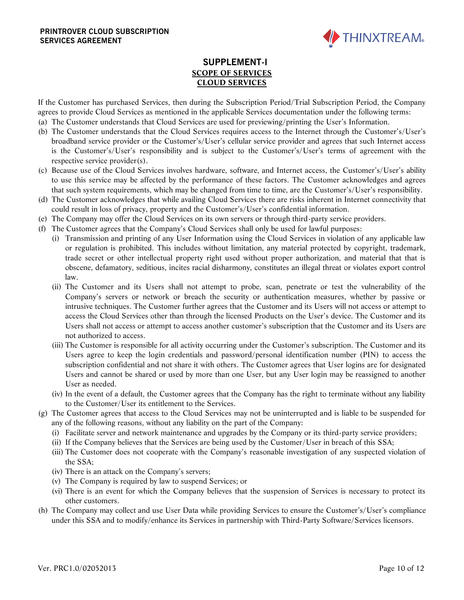

# **SUPPLEMENT-I SCOPE OF SERVICES CLOUD SERVICES**

If the Customer has purchased Services, then during the Subscription Period/Trial Subscription Period, the Company agrees to provide Cloud Services as mentioned in the applicable Services documentation under the following terms:

- (a) The Customer understands that Cloud Services are used for previewing/printing the User's Information.
- (b) The Customer understands that the Cloud Services requires access to the Internet through the Customer's/User's broadband service provider or the Customer's/User's cellular service provider and agrees that such Internet access is the Customer's/User's responsibility and is subject to the Customer's/User's terms of agreement with the respective service provider(s).
- (c) Because use of the Cloud Services involves hardware, software, and Internet access, the Customer's/User's ability to use this service may be affected by the performance of these factors. The Customer acknowledges and agrees that such system requirements, which may be changed from time to time, are the Customer's/User's responsibility.
- (d) The Customer acknowledges that while availing Cloud Services there are risks inherent in Internet connectivity that could result in loss of privacy, property and the Customer's/User's confidential information.
- (e) The Company may offer the Cloud Services on its own servers or through third-party service providers.
- (f) The Customer agrees that the Company's Cloud Services shall only be used for lawful purposes:
	- (i) Transmission and printing of any User Information using the Cloud Services in violation of any applicable law or regulation is prohibited. This includes without limitation, any material protected by copyright, trademark, trade secret or other intellectual property right used without proper authorization, and material that that is obscene, defamatory, seditious, incites racial disharmony, constitutes an illegal threat or violates export control law.
	- (ii) The Customer and its Users shall not attempt to probe, scan, penetrate or test the vulnerability of the Company's servers or network or breach the security or authentication measures, whether by passive or intrusive techniques. The Customer further agrees that the Customer and its Users will not access or attempt to access the Cloud Services other than through the licensed Products on the User's device. The Customer and its Users shall not access or attempt to access another customer's subscription that the Customer and its Users are not authorized to access.
	- (iii) The Customer is responsible for all activity occurring under the Customer's subscription. The Customer and its Users agree to keep the login credentials and password/personal identification number (PIN) to access the subscription confidential and not share it with others. The Customer agrees that User logins are for designated Users and cannot be shared or used by more than one User, but any User login may be reassigned to another User as needed.
	- (iv) In the event of a default, the Customer agrees that the Company has the right to terminate without any liability to the Customer/User its entitlement to the Services.
- (g) The Customer agrees that access to the Cloud Services may not be uninterrupted and is liable to be suspended for any of the following reasons, without any liability on the part of the Company:
	- (i) Facilitate server and network maintenance and upgrades by the Company or its third-party service providers;
	- (ii) If the Company believes that the Services are being used by the Customer/User in breach of this SSA;
	- (iii) The Customer does not cooperate with the Company's reasonable investigation of any suspected violation of the SSA;
	- (iv) There is an attack on the Company's servers;
	- (v) The Company is required by law to suspend Services; or
	- (vi) There is an event for which the Company believes that the suspension of Services is necessary to protect its other customers.
- (h) The Company may collect and use User Data while providing Services to ensure the Customer's/User's compliance under this SSA and to modify/enhance its Services in partnership with Third-Party Software/Services licensors.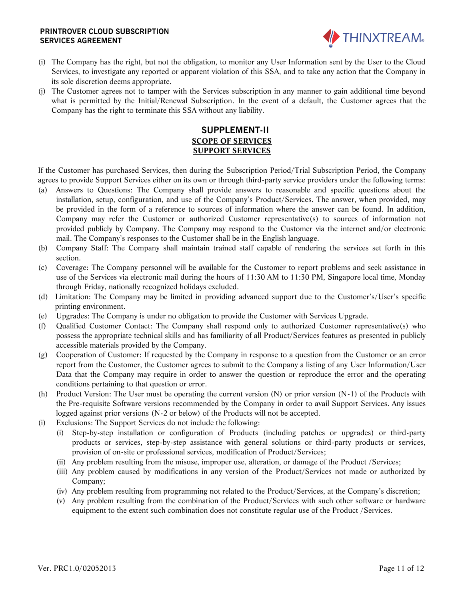

- (i) The Company has the right, but not the obligation, to monitor any User Information sent by the User to the Cloud Services, to investigate any reported or apparent violation of this SSA, and to take any action that the Company in its sole discretion deems appropriate.
- (j) The Customer agrees not to tamper with the Services subscription in any manner to gain additional time beyond what is permitted by the Initial/Renewal Subscription. In the event of a default, the Customer agrees that the Company has the right to terminate this SSA without any liability.

## **SUPPLEMENT-II SCOPE OF SERVICES SUPPORT SERVICES**

If the Customer has purchased Services, then during the Subscription Period/Trial Subscription Period, the Company agrees to provide Support Services either on its own or through third-party service providers under the following terms:

- (a) Answers to Questions: The Company shall provide answers to reasonable and specific questions about the installation, setup, configuration, and use of the Company's Product/Services. The answer, when provided, may be provided in the form of a reference to sources of information where the answer can be found. In addition, Company may refer the Customer or authorized Customer representative(s) to sources of information not provided publicly by Company. The Company may respond to the Customer via the internet and/or electronic mail. The Company's responses to the Customer shall be in the English language.
- (b) Company Staff: The Company shall maintain trained staff capable of rendering the services set forth in this section.
- (c) Coverage: The Company personnel will be available for the Customer to report problems and seek assistance in use of the Services via electronic mail during the hours of 11:30 AM to 11:30 PM, Singapore local time, Monday through Friday, nationally recognized holidays excluded.
- (d) Limitation: The Company may be limited in providing advanced support due to the Customer's/User's specific printing environment.
- (e) Upgrades: The Company is under no obligation to provide the Customer with Services Upgrade.
- (f) Qualified Customer Contact: The Company shall respond only to authorized Customer representative(s) who possess the appropriate technical skills and has familiarity of all Product/Services features as presented in publicly accessible materials provided by the Company.
- (g) Cooperation of Customer: If requested by the Company in response to a question from the Customer or an error report from the Customer, the Customer agrees to submit to the Company a listing of any User Information/User Data that the Company may require in order to answer the question or reproduce the error and the operating conditions pertaining to that question or error.
- (h) Product Version: The User must be operating the current version (N) or prior version (N-1) of the Products with the Pre-requisite Software versions recommended by the Company in order to avail Support Services. Any issues logged against prior versions (N-2 or below) of the Products will not be accepted.
- (i) Exclusions: The Support Services do not include the following:
	- (i) Step-by-step installation or configuration of Products (including patches or upgrades) or third-party products or services, step-by-step assistance with general solutions or third-party products or services, provision of on-site or professional services, modification of Product/Services;
	- (ii) Any problem resulting from the misuse, improper use, alteration, or damage of the Product /Services;
	- (iii) Any problem caused by modifications in any version of the Product/Services not made or authorized by Company;
	- (iv) Any problem resulting from programming not related to the Product/Services, at the Company's discretion;
	- (v) Any problem resulting from the combination of the Product/Services with such other software or hardware equipment to the extent such combination does not constitute regular use of the Product /Services.